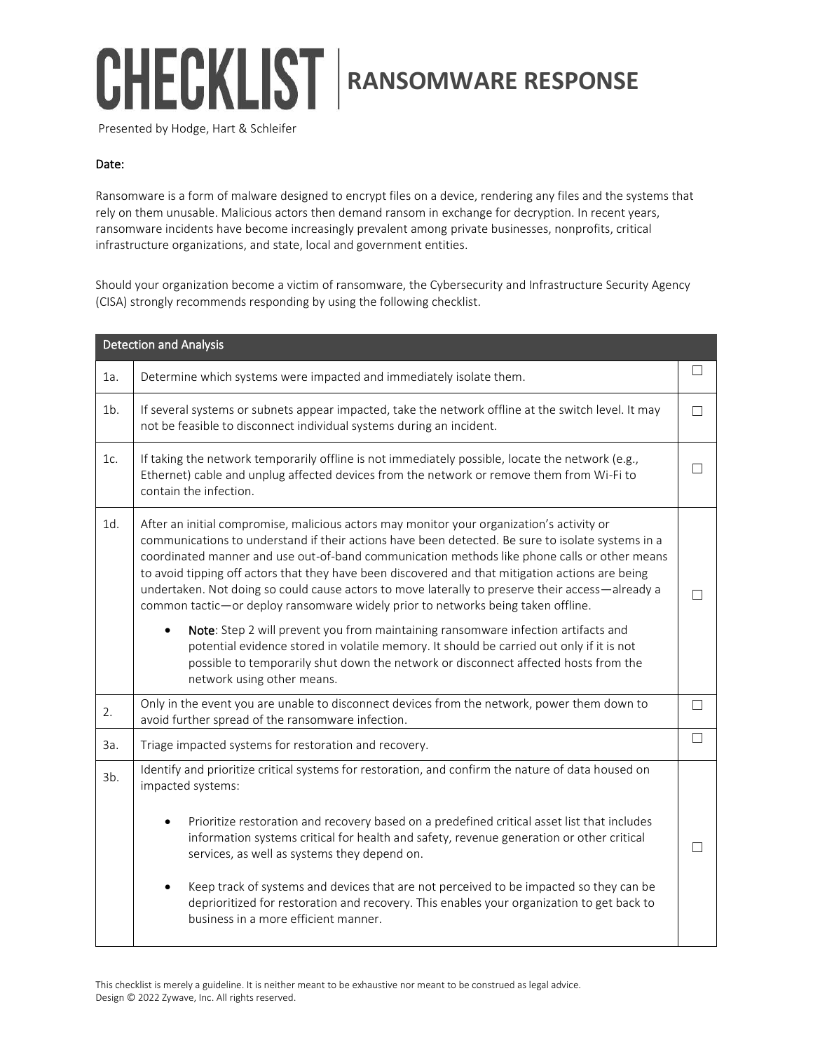## CHECKLIST **RANSOMWARE RESPONSE**

Presented by Hodge, Hart & Schleifer

## Date:

Ransomware is a form of malware designed to encrypt files on a device, rendering any files and the systems that rely on them unusable. Malicious actors then demand ransom in exchange for decryption. In recent years, ransomware incidents have become increasingly prevalent among private businesses, nonprofits, critical infrastructure organizations, and state, local and government entities.

Should your organization become a victim of ransomware, the Cybersecurity and Infrastructure Security Agency (CISA) strongly recommends responding by using the following checklist.

| <b>Detection and Analysis</b> |                                                                                                                                                                                                                                                                                                                                                                                                                                                                                                                                                                                            |                   |  |  |
|-------------------------------|--------------------------------------------------------------------------------------------------------------------------------------------------------------------------------------------------------------------------------------------------------------------------------------------------------------------------------------------------------------------------------------------------------------------------------------------------------------------------------------------------------------------------------------------------------------------------------------------|-------------------|--|--|
| 1a.                           | Determine which systems were impacted and immediately isolate them.                                                                                                                                                                                                                                                                                                                                                                                                                                                                                                                        |                   |  |  |
| $1b$ .                        | If several systems or subnets appear impacted, take the network offline at the switch level. It may<br>not be feasible to disconnect individual systems during an incident.                                                                                                                                                                                                                                                                                                                                                                                                                |                   |  |  |
| 1c.                           | If taking the network temporarily offline is not immediately possible, locate the network (e.g.,<br>Ethernet) cable and unplug affected devices from the network or remove them from Wi-Fi to<br>contain the infection.                                                                                                                                                                                                                                                                                                                                                                    |                   |  |  |
| 1d.                           | After an initial compromise, malicious actors may monitor your organization's activity or<br>communications to understand if their actions have been detected. Be sure to isolate systems in a<br>coordinated manner and use out-of-band communication methods like phone calls or other means<br>to avoid tipping off actors that they have been discovered and that mitigation actions are being<br>undertaken. Not doing so could cause actors to move laterally to preserve their access-already a<br>common tactic-or deploy ransomware widely prior to networks being taken offline. |                   |  |  |
|                               | Note: Step 2 will prevent you from maintaining ransomware infection artifacts and<br>$\bullet$<br>potential evidence stored in volatile memory. It should be carried out only if it is not<br>possible to temporarily shut down the network or disconnect affected hosts from the<br>network using other means.                                                                                                                                                                                                                                                                            |                   |  |  |
| 2.                            | Only in the event you are unable to disconnect devices from the network, power them down to<br>avoid further spread of the ransomware infection.                                                                                                                                                                                                                                                                                                                                                                                                                                           | П                 |  |  |
| За.                           | Triage impacted systems for restoration and recovery.                                                                                                                                                                                                                                                                                                                                                                                                                                                                                                                                      | П                 |  |  |
| $3b$ .                        | Identify and prioritize critical systems for restoration, and confirm the nature of data housed on<br>impacted systems:<br>Prioritize restoration and recovery based on a predefined critical asset list that includes                                                                                                                                                                                                                                                                                                                                                                     |                   |  |  |
|                               | information systems critical for health and safety, revenue generation or other critical<br>services, as well as systems they depend on.                                                                                                                                                                                                                                                                                                                                                                                                                                                   | $\vert \ \ \vert$ |  |  |
|                               | Keep track of systems and devices that are not perceived to be impacted so they can be<br>deprioritized for restoration and recovery. This enables your organization to get back to<br>business in a more efficient manner.                                                                                                                                                                                                                                                                                                                                                                |                   |  |  |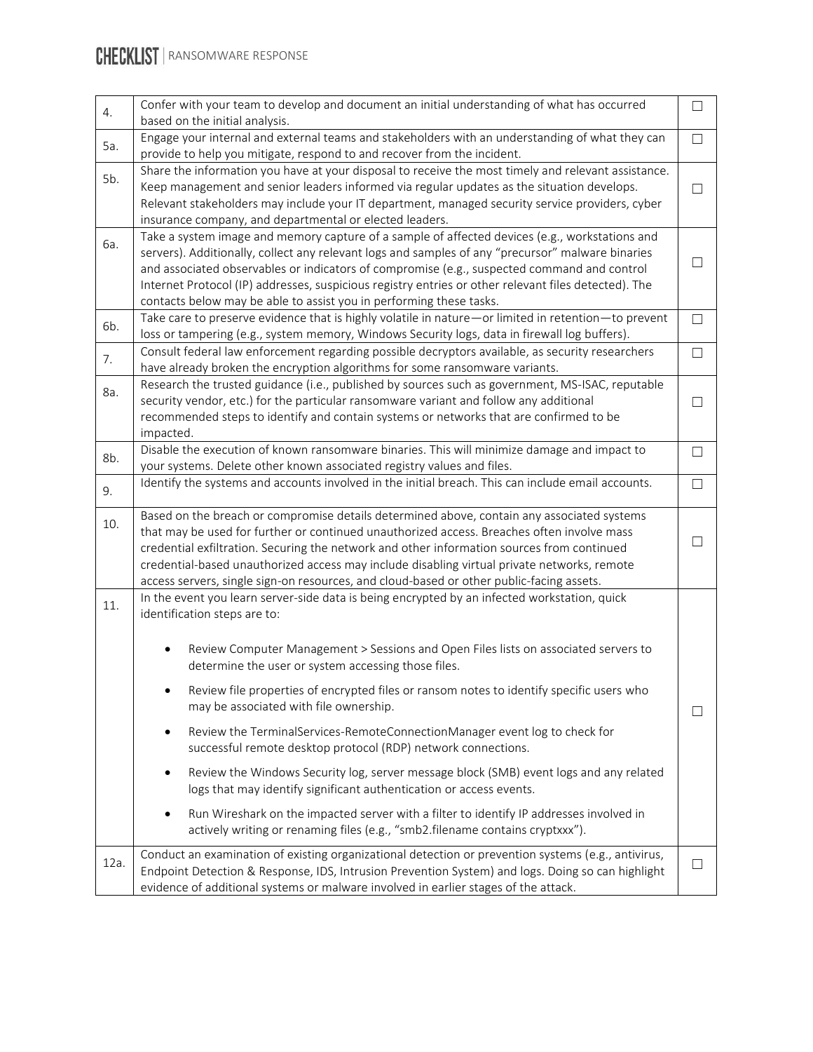| 4.   | Confer with your team to develop and document an initial understanding of what has occurred<br>based on the initial analysis.                                                                                                                                                                                                                                                                                                                                                     | $\Box$ |
|------|-----------------------------------------------------------------------------------------------------------------------------------------------------------------------------------------------------------------------------------------------------------------------------------------------------------------------------------------------------------------------------------------------------------------------------------------------------------------------------------|--------|
| 5a.  | Engage your internal and external teams and stakeholders with an understanding of what they can<br>provide to help you mitigate, respond to and recover from the incident.                                                                                                                                                                                                                                                                                                        | П      |
| 5b.  | Share the information you have at your disposal to receive the most timely and relevant assistance.<br>Keep management and senior leaders informed via regular updates as the situation develops.<br>Relevant stakeholders may include your IT department, managed security service providers, cyber<br>insurance company, and departmental or elected leaders.                                                                                                                   | $\Box$ |
| 6a.  | Take a system image and memory capture of a sample of affected devices (e.g., workstations and<br>servers). Additionally, collect any relevant logs and samples of any "precursor" malware binaries<br>and associated observables or indicators of compromise (e.g., suspected command and control<br>Internet Protocol (IP) addresses, suspicious registry entries or other relevant files detected). The<br>contacts below may be able to assist you in performing these tasks. |        |
| 6b.  | Take care to preserve evidence that is highly volatile in nature - or limited in retention-to prevent<br>loss or tampering (e.g., system memory, Windows Security logs, data in firewall log buffers).                                                                                                                                                                                                                                                                            | П      |
| 7.   | Consult federal law enforcement regarding possible decryptors available, as security researchers<br>have already broken the encryption algorithms for some ransomware variants.                                                                                                                                                                                                                                                                                                   | $\Box$ |
| 8a.  | Research the trusted guidance (i.e., published by sources such as government, MS-ISAC, reputable<br>security vendor, etc.) for the particular ransomware variant and follow any additional<br>recommended steps to identify and contain systems or networks that are confirmed to be<br>impacted.                                                                                                                                                                                 | П      |
| 8b.  | Disable the execution of known ransomware binaries. This will minimize damage and impact to<br>your systems. Delete other known associated registry values and files.                                                                                                                                                                                                                                                                                                             | $\Box$ |
| 9.   | Identify the systems and accounts involved in the initial breach. This can include email accounts.                                                                                                                                                                                                                                                                                                                                                                                | $\Box$ |
| 10.  | Based on the breach or compromise details determined above, contain any associated systems<br>that may be used for further or continued unauthorized access. Breaches often involve mass<br>credential exfiltration. Securing the network and other information sources from continued<br>credential-based unauthorized access may include disabling virtual private networks, remote<br>access servers, single sign-on resources, and cloud-based or other public-facing assets. |        |
| 11.  | In the event you learn server-side data is being encrypted by an infected workstation, quick<br>identification steps are to:<br>Review Computer Management > Sessions and Open Files lists on associated servers to<br>٠<br>determine the user or system accessing those files.<br>Review file properties of encrypted files or ransom notes to identify specific users who<br>may be associated with file ownership.                                                             | $\Box$ |
|      | Review the TerminalServices-RemoteConnectionManager event log to check for<br>$\bullet$<br>successful remote desktop protocol (RDP) network connections.                                                                                                                                                                                                                                                                                                                          |        |
|      | Review the Windows Security log, server message block (SMB) event logs and any related<br>$\bullet$<br>logs that may identify significant authentication or access events.                                                                                                                                                                                                                                                                                                        |        |
|      | Run Wireshark on the impacted server with a filter to identify IP addresses involved in<br>actively writing or renaming files (e.g., "smb2.filename contains cryptxxx").                                                                                                                                                                                                                                                                                                          |        |
| 12a. | Conduct an examination of existing organizational detection or prevention systems (e.g., antivirus,<br>Endpoint Detection & Response, IDS, Intrusion Prevention System) and logs. Doing so can highlight<br>evidence of additional systems or malware involved in earlier stages of the attack.                                                                                                                                                                                   | П      |